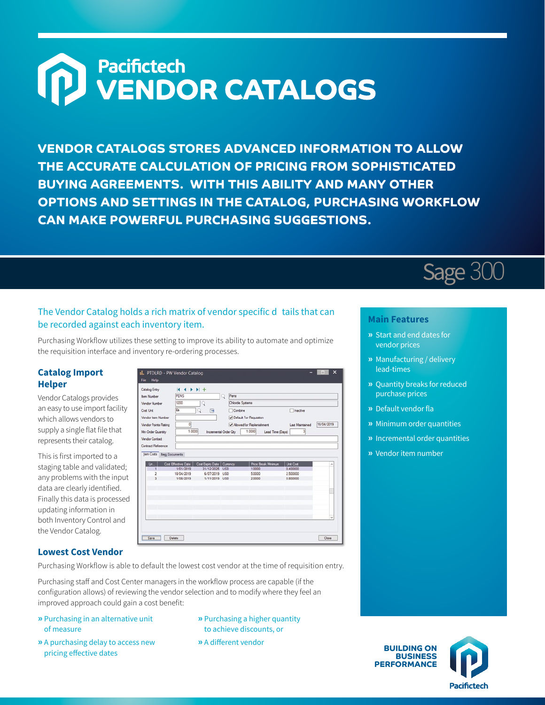# **M** Pacifictech<br> **MENDOR CATALOGS**

**VENDOR CATALOGS STORES ADVANCED INFORMATION TO ALLOW THE ACCURATE CALCULATION OF PRICING FROM SOPHISTICATED BUYING AGREEMENTS. WITH THIS ABILITY AND MANY OTHER OPTIONS AND SETTINGS IN THE CATALOG, PURCHASING WORKFLOW CAN MAKE POWERFUL PURCHASING SUGGESTIONS.**

## The Vendor Catalog holds a rich matrix of vendor specific d tails that can

Purchasing Workflow utilizes these setting to improve its ability to automate and optimize the requisition interface and inventory re-ordering processes.

## **Catalog Import Helper**

Vendor Catalogs provides an easy to use import facility which allows vendors to supply a single flat file that represents their catalog.

be recorded against each inventory item.

This is first imported to a staging table and validated; any problems with the input data are clearly identified. Finally this data is processed updating information in both Inventory Control and the Vendor Catalog.

| <b>Item Number</b>   | PENS                                                           |                        | Pens<br>Q  |                            |                        |                 |  |  |
|----------------------|----------------------------------------------------------------|------------------------|------------|----------------------------|------------------------|-----------------|--|--|
| Vendor Number        | 1200                                                           | Q                      |            | Chloride Systems           |                        |                 |  |  |
| Cost Unit            | Ea                                                             | ⊟                      | Combine    |                            | Inactive               |                 |  |  |
| Vendor item Number   |                                                                |                        |            | Default For Requisition    |                        |                 |  |  |
|                      |                                                                |                        |            |                            |                        |                 |  |  |
| Vendor Points Rating | 이                                                              |                        |            | Allowed for Replenishment  | <b>Last Maintained</b> | 18/04/2019      |  |  |
| Min Order Quantity   | 1.0000                                                         | Incremental Order City |            | 1.0000<br>Lead Time (Days) | з                      |                 |  |  |
| Vendor Contact       |                                                                |                        |            |                            |                        |                 |  |  |
| Contract Reference   |                                                                |                        |            |                            |                        |                 |  |  |
|                      |                                                                |                        |            | Price Break Minimum        | <b>Unit Cost</b>       |                 |  |  |
| L'n                  | Cost Effective Date   Cost Expiry Date   Currency<br>1/01/2019 | 31/12/2025             | <b>USD</b> | 1,0000                     | 0.400000               | $\mathcal{S}_n$ |  |  |
|                      | 18/04/2019                                                     | 6/07/2019              | <b>USD</b> | 5,0000                     | 2,500000               |                 |  |  |
| $\mathbf{a}$         | 1/08/2019                                                      | 1/11/2019 USD          |            | 2,0000                     | 0.800000               |                 |  |  |
|                      |                                                                |                        |            |                            |                        |                 |  |  |
|                      |                                                                |                        |            |                            |                        |                 |  |  |
|                      |                                                                |                        |            |                            |                        |                 |  |  |
|                      |                                                                |                        |            |                            |                        |                 |  |  |
|                      |                                                                |                        |            |                            |                        |                 |  |  |

#### **Lowest Cost Vendor**

Purchasing Workflow is able to default the lowest cost vendor at the time of requisition entry.

Purchasing staff and Cost Center managers in the workflow process are capable (if the configuration allows) of reviewing the vendor selection and to modify where they feel an improved approach could gain a cost benefit:

- **»** Purchasing in an alternative unit of measure
- **»** A purchasing delay to access new pricing effective dates
- **»** Purchasing a higher quantity to achieve discounts, or
- **»** A different vendor

## **Main Features**

Sage 300

- **»** Start and end dates for vendor prices
- **»** Manufacturing / delivery lead-times
- **»** Quantity breaks for reduced purchase prices
- **»** Default vendor fla
- **»** Minimum order quantities
- **»** Incremental order quantities
- **»** Vendor item number